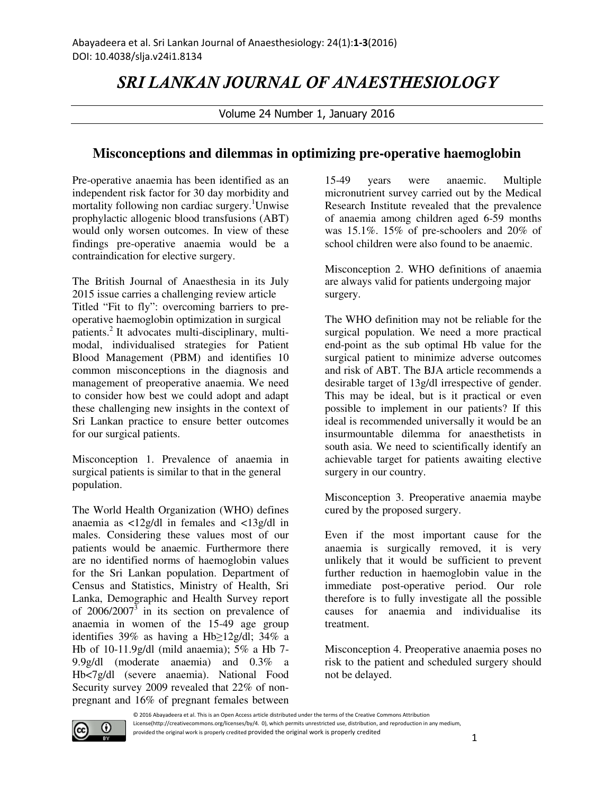## SRI LANKAN JOURNAL OF ANAESTHESIOLOGY

Volume 24 Number 1, January 2016

## **Misconceptions and dilemmas in optimizing pre-operative haemoglobin**

Pre-operative anaemia has been identified as an independent risk factor for 30 day morbidity and mortality following non cardiac surgery.<sup>1</sup>Unwise prophylactic allogenic blood transfusions (ABT) would only worsen outcomes. In view of these findings pre-operative anaemia would be a contraindication for elective surgery.

The British Journal of Anaesthesia in its July 2015 issue carries a challenging review article Titled "Fit to fly": overcoming barriers to preoperative haemoglobin optimization in surgical patients.<sup>2</sup> It advocates multi-disciplinary, multimodal, individualised strategies for Patient Blood Management (PBM) and identifies 10 common misconceptions in the diagnosis and management of preoperative anaemia. We need to consider how best we could adopt and adapt these challenging new insights in the context of Sri Lankan practice to ensure better outcomes for our surgical patients.

Misconception 1. Prevalence of anaemia in surgical patients is similar to that in the general population.

The World Health Organization (WHO) defines anaemia as <12g/dl in females and <13g/dl in males. Considering these values most of our patients would be anaemic. Furthermore there are no identified norms of haemoglobin values for the Sri Lankan population. Department of Census and Statistics, Ministry of Health, Sri Lanka, Demographic and Health Survey report of  $2006/2007<sup>3</sup>$  in its section on prevalence of anaemia in women of the 15-49 age group identifies 39% as having a Hb≥12g/dl; 34% a Hb of 10-11.9g/dl (mild anaemia); 5% a Hb 7- 9.9g/dl (moderate anaemia) and 0.3% a Hb<7g/dl (severe anaemia). National Food Security survey 2009 revealed that 22% of nonpregnant and 16% of pregnant females between

15-49 years were anaemic. Multiple micronutrient survey carried out by the Medical Research Institute revealed that the prevalence of anaemia among children aged 6-59 months was 15.1%. 15% of pre-schoolers and 20% of school children were also found to be anaemic.

Misconception 2. WHO definitions of anaemia are always valid for patients undergoing major surgery.

The WHO definition may not be reliable for the surgical population. We need a more practical end-point as the sub optimal Hb value for the surgical patient to minimize adverse outcomes and risk of ABT. The BJA article recommends a desirable target of 13g/dl irrespective of gender. This may be ideal, but is it practical or even possible to implement in our patients? If this ideal is recommended universally it would be an insurmountable dilemma for anaesthetists in south asia. We need to scientifically identify an achievable target for patients awaiting elective surgery in our country.

Misconception 3. Preoperative anaemia maybe cured by the proposed surgery.

Even if the most important cause for the anaemia is surgically removed, it is very unlikely that it would be sufficient to prevent further reduction in haemoglobin value in the immediate post-operative period. Our role therefore is to fully investigate all the possible causes for anaemia and individualise its treatment.

Misconception 4. Preoperative anaemia poses no risk to the patient and scheduled surgery should not be delayed.

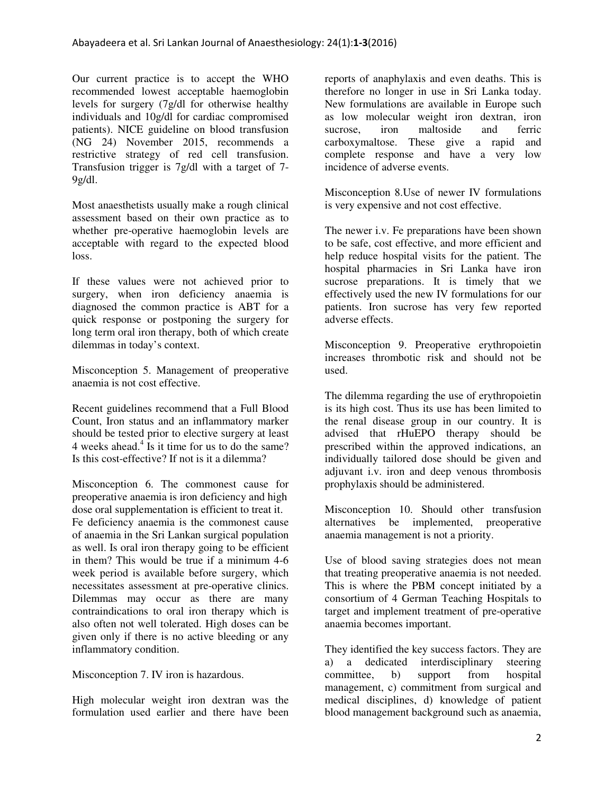Our current practice is to accept the WHO recommended lowest acceptable haemoglobin levels for surgery (7g/dl for otherwise healthy individuals and 10g/dl for cardiac compromised patients). NICE guideline on blood transfusion (NG 24) November 2015, recommends a restrictive strategy of red cell transfusion. Transfusion trigger is 7g/dl with a target of 7-  $9g/dl$ .

Most anaesthetists usually make a rough clinical assessment based on their own practice as to whether pre-operative haemoglobin levels are acceptable with regard to the expected blood loss.

If these values were not achieved prior to surgery, when iron deficiency anaemia is diagnosed the common practice is ABT for a quick response or postponing the surgery for long term oral iron therapy, both of which create dilemmas in today's context.

Misconception 5. Management of preoperative anaemia is not cost effective.

Recent guidelines recommend that a Full Blood Count, Iron status and an inflammatory marker should be tested prior to elective surgery at least 4 weeks ahead.<sup>4</sup> Is it time for us to do the same? Is this cost-effective? If not is it a dilemma?

Misconception 6. The commonest cause for preoperative anaemia is iron deficiency and high dose oral supplementation is efficient to treat it. Fe deficiency anaemia is the commonest cause of anaemia in the Sri Lankan surgical population as well. Is oral iron therapy going to be efficient in them? This would be true if a minimum 4-6 week period is available before surgery, which necessitates assessment at pre-operative clinics. Dilemmas may occur as there are many contraindications to oral iron therapy which is also often not well tolerated. High doses can be given only if there is no active bleeding or any inflammatory condition.

Misconception 7. IV iron is hazardous.

High molecular weight iron dextran was the formulation used earlier and there have been

reports of anaphylaxis and even deaths. This is therefore no longer in use in Sri Lanka today. New formulations are available in Europe such as low molecular weight iron dextran, iron sucrose, iron maltoside and ferric carboxymaltose. These give a rapid and complete response and have a very low incidence of adverse events.

Misconception 8.Use of newer IV formulations is very expensive and not cost effective.

The newer i.v. Fe preparations have been shown to be safe, cost effective, and more efficient and help reduce hospital visits for the patient. The hospital pharmacies in Sri Lanka have iron sucrose preparations. It is timely that we effectively used the new IV formulations for our patients. Iron sucrose has very few reported adverse effects.

Misconception 9. Preoperative erythropoietin increases thrombotic risk and should not be used.

The dilemma regarding the use of erythropoietin is its high cost. Thus its use has been limited to the renal disease group in our country. It is advised that rHuEPO therapy should be prescribed within the approved indications, an individually tailored dose should be given and adjuvant i.v. iron and deep venous thrombosis prophylaxis should be administered.

Misconception 10. Should other transfusion alternatives be implemented, preoperative anaemia management is not a priority.

Use of blood saving strategies does not mean that treating preoperative anaemia is not needed. This is where the PBM concept initiated by a consortium of 4 German Teaching Hospitals to target and implement treatment of pre-operative anaemia becomes important.

They identified the key success factors. They are a) a dedicated interdisciplinary steering committee, b) support from hospital management, c) commitment from surgical and medical disciplines, d) knowledge of patient blood management background such as anaemia,